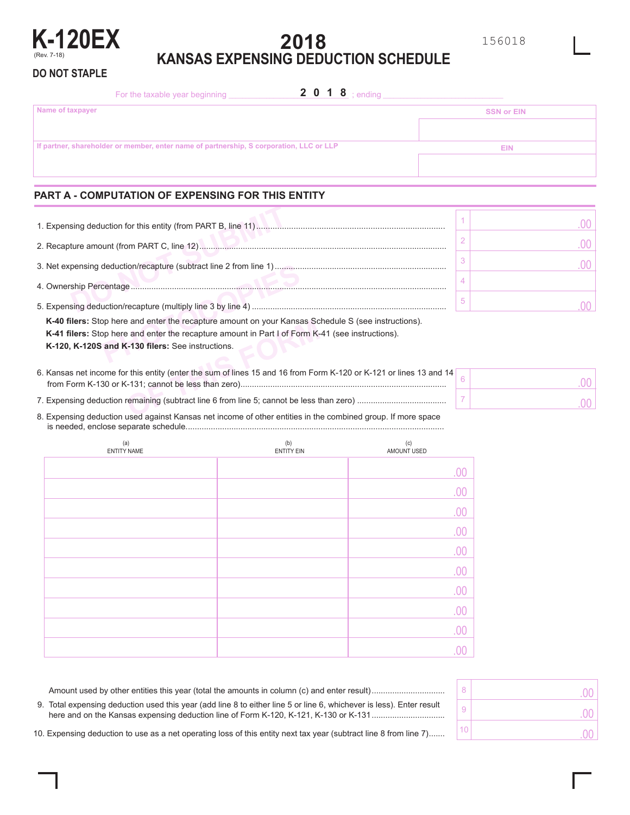

**DO NOT STAPLE**

# **2018 KANSAS EXPENSING DEDUCTION SCHEDULE**

For the taxable year beginning \_\_\_\_\_\_\_\_\_\_\_\_\_\_\_\_\_\_\_\_\_\_\_\_\_\_\_\_\_\_\_\_\_\_\_ ; ending \_\_\_\_\_\_\_\_\_\_\_\_\_\_\_\_\_\_\_\_\_\_\_\_\_\_\_\_\_\_\_\_\_\_\_ **Name of taxpayer If partner, shareholder or member, enter name of partnership, S corporation, LLC or LLP SSN or EIN EIN** 2 0 1 8 ; ending

# **PART A - COMPUTATION OF EXPENSING FOR THIS ENTITY**

| 4. Ownership Percentage                                                                                                                                                                                               |  |  |  |  |  |  |  |
|-----------------------------------------------------------------------------------------------------------------------------------------------------------------------------------------------------------------------|--|--|--|--|--|--|--|
|                                                                                                                                                                                                                       |  |  |  |  |  |  |  |
| <b>K-40 filers:</b> Stop here and enter the recapture amount on your Kansas Schedule S (see instructions).<br><b>K-41 filers:</b> Stop here and enter the recapture amount in Part I of Form K-41 (see instructions). |  |  |  |  |  |  |  |
| K-120, K-120S and K-130 filers: See instructions.                                                                                                                                                                     |  |  |  |  |  |  |  |

| <b>K-40 filers:</b> Stop here and enter the recapture amount on your Kansas Schedule S (see instructions).         |  |
|--------------------------------------------------------------------------------------------------------------------|--|
| K-41 filers: Stop here and enter the recapture amount in Part I of Form K-41 (see instructions).                   |  |
| K-120, K-120S and K-130 filers: See instructions.                                                                  |  |
|                                                                                                                    |  |
| 6. Kansas net income for this entity (enter the sum of lines 15 and 16 from Form K-120 or K-121 or lines 13 and 14 |  |
|                                                                                                                    |  |
|                                                                                                                    |  |
|                                                                                                                    |  |
| 2. Expensive deduction used against Kansse pet income of other entities in the combined group. If mere space       |  |

8. Expensing deduction used against Kansas net income of other entities in the combined group. If more space is needed, enclose separate schedule.................................................................................................................

| (a)<br>ENTITY NAME | (b)<br><b>ENTITY EIN</b> | (c)<br>AMOUNT USED |
|--------------------|--------------------------|--------------------|
|                    |                          | .00                |
|                    |                          | .00                |
|                    |                          | .00                |
|                    |                          | .00                |
|                    |                          | .00                |
|                    |                          | .00                |
|                    |                          | .00                |
|                    |                          | .00                |
|                    |                          | .00                |
|                    |                          |                    |

| 8  | .00            |
|----|----------------|
| 9  | $\Omega$<br>ä, |
| 10 |                |

Amount used by other entities this year (total the amounts in column (c) and enter result)................................ 9. Total expensing deduction used this year (add line 8 to either line 5 or line 6, whichever is less). Enter result here and on the Kansas expensing deduction line of Form K-120, K-121, K-130 or K-131................................

10. Expensing deduction to use as a net operating loss of this entity next tax year (subtract line 8 from line 7).......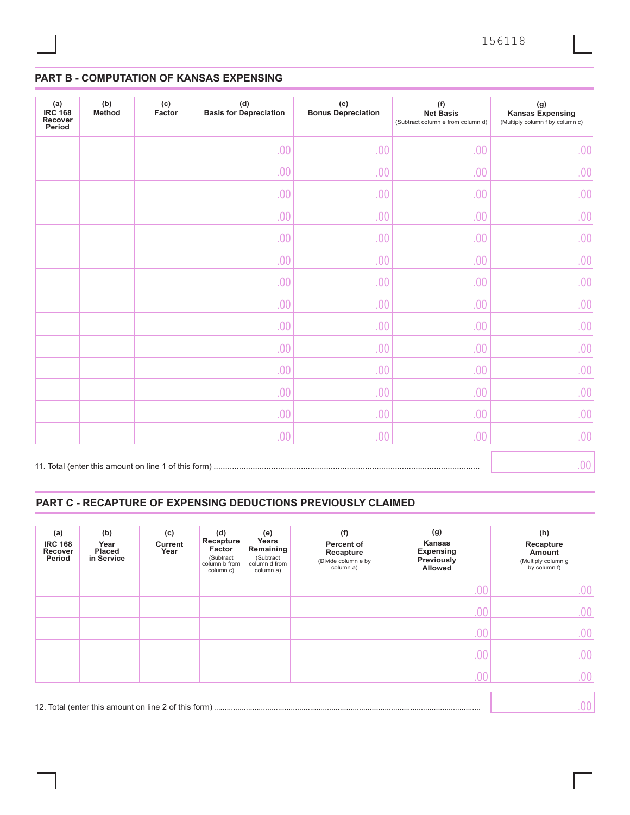# **PART B - COMPUTATION OF KANSAS EXPENSING**

| (a)<br><b>IRC 168</b><br>Recover<br>Period | (b)<br><b>Method</b> | (c)<br>Factor | (d)<br><b>Basis for Depreciation</b> | (e)<br><b>Bonus Depreciation</b> | (f)<br><b>Net Basis</b><br>(Subtract column e from column d) | (g)<br><b>Kansas Expensing</b><br>(Multiply column f by column c) |
|--------------------------------------------|----------------------|---------------|--------------------------------------|----------------------------------|--------------------------------------------------------------|-------------------------------------------------------------------|
|                                            |                      |               | .00                                  | .00                              | .00                                                          | .00                                                               |
|                                            |                      |               | .00                                  | .00                              | .00                                                          | .00                                                               |
|                                            |                      |               | .00                                  | .00                              | .00                                                          | .00                                                               |
|                                            |                      |               | .00                                  | .00                              | .00                                                          | .00                                                               |
|                                            |                      |               | .00                                  | .00                              | .00                                                          | .00                                                               |
|                                            |                      |               | .00                                  | .00                              | .00                                                          | .00                                                               |
|                                            |                      |               | .00                                  | .00                              | .00                                                          | .00                                                               |
|                                            |                      |               | .00                                  | .00                              | .00                                                          | .00                                                               |
|                                            |                      |               | .00                                  | .00                              | .00                                                          | .00                                                               |
|                                            |                      |               | .00                                  | .00                              | .00                                                          | .00                                                               |
|                                            |                      |               | .00                                  | .00                              | .00                                                          | .00                                                               |
|                                            |                      |               | .00                                  | .00                              | .00                                                          | .00                                                               |
|                                            |                      |               | .00                                  | .00                              | .00                                                          | .00                                                               |
|                                            |                      |               | .00                                  | .00                              | .00                                                          | .00                                                               |
|                                            |                      |               |                                      |                                  |                                                              | .00                                                               |

## **PART C - RECAPTURE OF EXPENSING DEDUCTIONS PREVIOUSLY CLAIMED**

| (a)<br><b>IRC 168</b><br>Recover<br>Period | (b)<br>Year<br><b>Placed</b><br>in Service | (c)<br><b>Current</b><br>Year | (d)<br>Recapture<br>Factor<br>(Subtract<br>column b from<br>column c) | (e)<br>Years<br>Remaining<br>(Subtract<br>column d from<br>column a) | (f)<br>Percent of<br>Recapture<br>(Divide column e by<br>column a) | (g)<br>Kansas<br><b>Expensing</b><br>Previously<br><b>Allowed</b> | (h)<br>Recapture<br>Amount<br>(Multiply column g<br>by column f) |
|--------------------------------------------|--------------------------------------------|-------------------------------|-----------------------------------------------------------------------|----------------------------------------------------------------------|--------------------------------------------------------------------|-------------------------------------------------------------------|------------------------------------------------------------------|
|                                            |                                            |                               |                                                                       |                                                                      |                                                                    | .00                                                               | .00                                                              |
|                                            |                                            |                               |                                                                       |                                                                      |                                                                    | .00                                                               | .00                                                              |
|                                            |                                            |                               |                                                                       |                                                                      |                                                                    | 0 <sup>0</sup>                                                    | .00                                                              |
|                                            |                                            |                               |                                                                       |                                                                      |                                                                    | .00                                                               | .00                                                              |
|                                            |                                            |                               |                                                                       |                                                                      |                                                                    | 00                                                                | .00                                                              |
|                                            |                                            |                               |                                                                       |                                                                      |                                                                    |                                                                   | 00                                                               |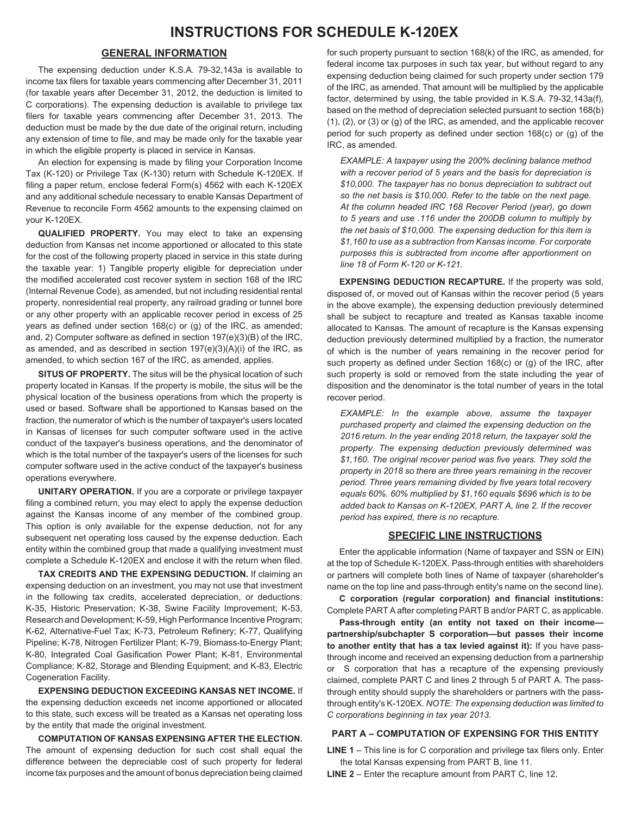## **GENERAL INFORMATION**

The expensing deduction under K.S.A. 79-32,143a is available to income tax filers for taxable years commencing after December 31, 2011 (for taxable years after December 31, 2012, the deduction is limited to C corporations). The expensing deduction is available to privilege tax filers for taxable years commencing after December 31, 2013. The deduction must be made by the due date of the original return, including any extension of time to file, and may be made only for the taxable year in which the eligible property is placed in service in Kansas.

An election for expensing is made by filing your Corporation Income Tax (K-120) or Privilege Tax (K-130) return with Schedule K-120EX. If filing a paper return, enclose federal Form(s) 4562 with each K-120EX and any additional schedule necessary to enable Kansas Department of Revenue to reconcile Form 4562 amounts to the expensing claimed on your K-120EX.

**QUALIFIED PROPERTY.** You may elect to take an expensing deduction from Kansas net income apportioned or allocated to this state for the cost of the following property placed in service in this state during the taxable year: 1) Tangible property eligible for depreciation under the modified accelerated cost recover system in section 168 of the IRC (Internal Revenue Code), as amended, but not including residential rental property, nonresidential real property, any railroad grading or tunnel bore or any other property with an applicable recover period in excess of 25 years as defined under section 168(c) or (g) of the IRC, as amended; and, 2) Computer software as defined in section 197(e)(3)(B) of the IRC, as amended, and as described in section 197(e)(3)(A)(i) of the IRC, as amended, to which section 167 of the IRC, as amended, applies.

**SITUS OF PROPERTY.** The situs will be the physical location of such property located in Kansas. If the property is mobile, the situs will be the physical location of the business operations from which the property is used or based. Software shall be apportioned to Kansas based on the fraction, the numerator of which is the number of taxpayer's users located in Kansas of licenses for such computer software used in the active conduct of the taxpayer's business operations, and the denominator of which is the total number of the taxpayer's users of the licenses for such computer software used in the active conduct of the taxpayer's business operations everywhere.

**UNITARY OPERATION.** If you are a corporate or privilege taxpayer filing a combined return, you may elect to apply the expense deduction against the Kansas income of any member of the combined group. This option is only available for the expense deduction, not for any subsequent net operating loss caused by the expense deduction. Each entity within the combined group that made a qualifying investment must complete a Schedule K-120EX and enclose it with the return when filed.

**TAX CREDITS AND THE EXPENSING DEDUCTION.** If claiming an expensing deduction on an investment, you may not use that investment in the following tax credits, accelerated depreciation, or deductions: K-35, Historic Preservation; K-38, Swine Facility Improvement; K-53, Research and Development; K-59, High Performance Incentive Program; K-62, Alternative-Fuel Tax; K-73, Petroleum Refinery; K-77, Qualifying Pipeline; K-78, Nitrogen Fertilizer Plant; K-79, Biomass-to-Energy Plant; K-80, Integrated Coal Gasification Power Plant; K-81, Environmental Compliance; K-82, Storage and Blending Equipment; and K-83, Electric Cogeneration Facility.

**EXPENSING DEDUCTION EXCEEDING KANSAS NET INCOME.** If the expensing deduction exceeds net income apportioned or allocated to this state, such excess will be treated as a Kansas net operating loss by the entity that made the original investment.

**COMPUTATION OF KANSAS EXPENSING AFTER THE ELECTION.** The amount of expensing deduction for such cost shall equal the difference between the depreciable cost of such property for federal income tax purposes and the amount of bonus depreciation being claimed

for such property pursuant to section 168(k) of the IRC, as amended, for federal income tax purposes in such tax year, but without regard to any expensing deduction being claimed for such property under section 179 of the IRC, as amended. That amount will be multiplied by the applicable factor, determined by using, the table provided in K.S.A. 79-32,143a(f), based on the method of depreciation selected pursuant to section 168(b) (1), (2), or (3) or (g) of the IRC, as amended, and the applicable recover period for such property as defined under section 168(c) or (g) of the IRC, as amended.

*EXAMPLE: A taxpayer using the 200% declining balance method with a recover period of 5 years and the basis for depreciation is \$10,000. The taxpayer has no bonus depreciation to subtract out so the net basis is \$10,000. Refer to the table on the next page. At the column headed IRC 168 Recover Period (year), go down to 5 years and use .116 under the 200DB column to multiply by the net basis of \$10,000. The expensing deduction for this item is \$1,160 to use as a subtraction from Kansas income. For corporate purposes this is subtracted from income after apportionment on line 18 of Form K-120 or K-121.*

**EXPENSING DEDUCTION RECAPTURE.** If the property was sold, disposed of, or moved out of Kansas within the recover period (5 years in the above example), the expensing deduction previously determined shall be subject to recapture and treated as Kansas taxable income allocated to Kansas. The amount of recapture is the Kansas expensing deduction previously determined multiplied by a fraction, the numerator of which is the number of years remaining in the recover period for such property as defined under Section 168(c) or (g) of the IRC, after such property is sold or removed from the state including the year of disposition and the denominator is the total number of years in the total recover period.

*EXAMPLE: In the example above, assume the taxpayer purchased property and claimed the expensing deduction on the 2016 return. In the year ending 2018 return, the taxpayer sold the property. The expensing deduction previously determined was \$1,160. The original recover period was five years. They sold the property in 2018 so there are three years remaining in the recover period. Three years remaining divided by five years total recovery equals 60%. 60% multiplied by \$1,160 equals \$696 which is to be added back to Kansas on K-120EX, PART A, line 2. If the recover period has expired, there is no recapture.*

### **SPECIFIC LINE INSTRUCTIONS**

Enter the applicable information (Name of taxpayer and SSN or EIN) at the top of Schedule K-120EX. Pass-through entities with shareholders or partners will complete both lines of Name of taxpayer (shareholder's name on the top line and pass-through entity's name on the second line).

**C corporation (regular corporation) and financial institutions:**  Complete PART A after completing PART B and/or PART C, as applicable.

**Pass-through entity (an entity not taxed on their income partnership/subchapter S corporation—but passes their income to another entity that has a tax levied against it):** If you have passthrough income and received an expensing deduction from a partnership or S corporation that has a recapture of the expensing previously claimed, complete PART C and lines 2 through 5 of PART A. The passthrough entity should supply the shareholders or partners with the passthrough entity's K-120EX. *NOTE: The expensing deduction was limited to C corporations beginning in tax year 2013.*

### **PART A – COMPUTATION OF EXPENSING FOR THIS ENTITY**

**LINE 1** – This line is for C corporation and privilege tax filers only. Enter the total Kansas expensing from PART B, line 11.

**LINE 2** – Enter the recapture amount from PART C, line 12.